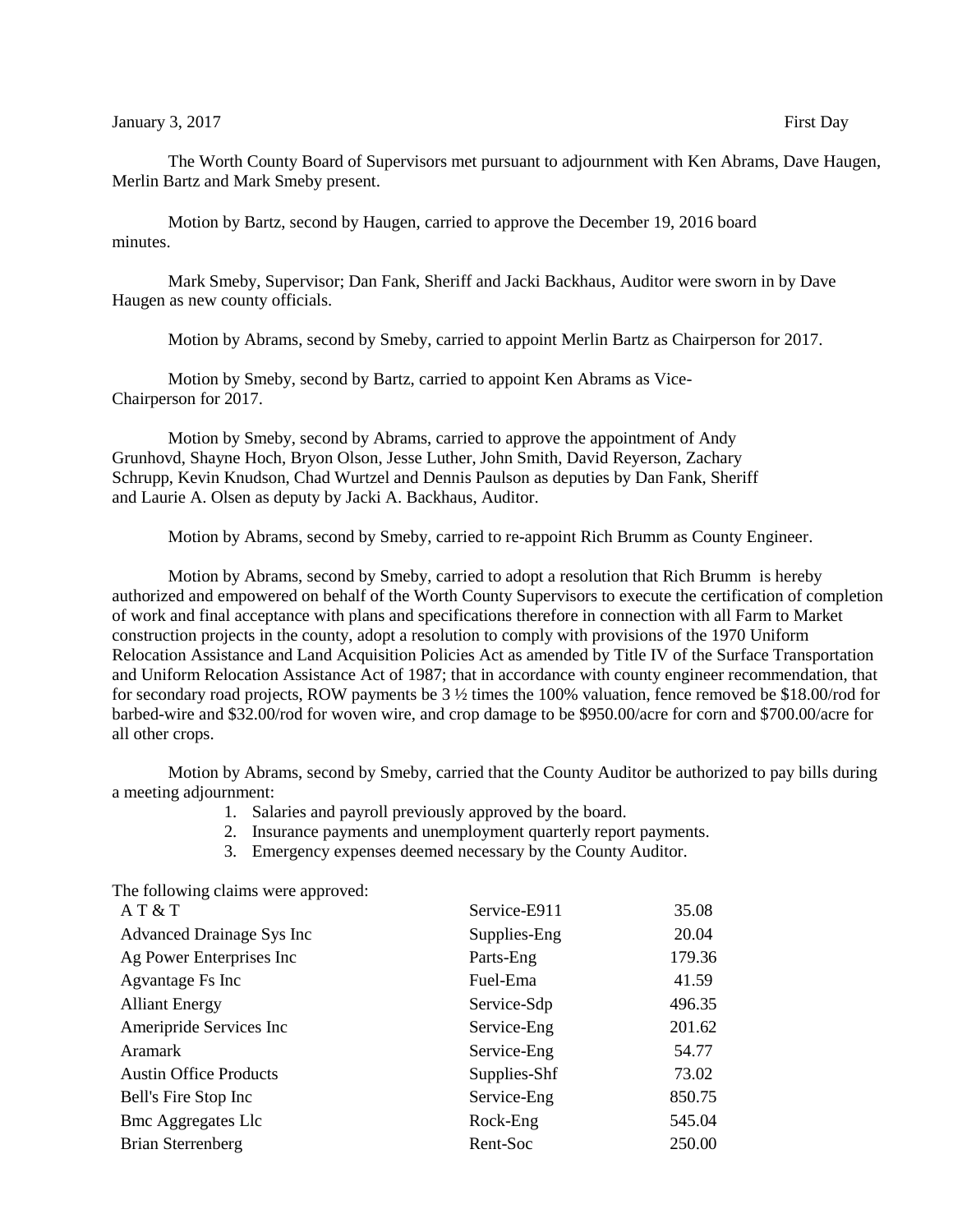Motion by Bartz, second by Haugen, carried to approve the December 19, 2016 board minutes.

Mark Smeby, Supervisor; Dan Fank, Sheriff and Jacki Backhaus, Auditor were sworn in by Dave Haugen as new county officials.

Motion by Abrams, second by Smeby, carried to appoint Merlin Bartz as Chairperson for 2017.

Motion by Smeby, second by Bartz, carried to appoint Ken Abrams as Vice-Chairperson for 2017.

Motion by Smeby, second by Abrams, carried to approve the appointment of Andy Grunhovd, Shayne Hoch, Bryon Olson, Jesse Luther, John Smith, David Reyerson, Zachary Schrupp, Kevin Knudson, Chad Wurtzel and Dennis Paulson as deputies by Dan Fank, Sheriff and Laurie A. Olsen as deputy by Jacki A. Backhaus, Auditor.

Motion by Abrams, second by Smeby, carried to re-appoint Rich Brumm as County Engineer.

Motion by Abrams, second by Smeby, carried to adopt a resolution that Rich Brumm is hereby authorized and empowered on behalf of the Worth County Supervisors to execute the certification of completion of work and final acceptance with plans and specifications therefore in connection with all Farm to Market construction projects in the county, adopt a resolution to comply with provisions of the 1970 Uniform Relocation Assistance and Land Acquisition Policies Act as amended by Title IV of the Surface Transportation and Uniform Relocation Assistance Act of 1987; that in accordance with county engineer recommendation, that for secondary road projects, ROW payments be 3 ½ times the 100% valuation, fence removed be \$18.00/rod for barbed-wire and \$32.00/rod for woven wire, and crop damage to be \$950.00/acre for corn and \$700.00/acre for all other crops.

Motion by Abrams, second by Smeby, carried that the County Auditor be authorized to pay bills during a meeting adjournment:

- 1. Salaries and payroll previously approved by the board.
- 2. Insurance payments and unemployment quarterly report payments.
- 3. Emergency expenses deemed necessary by the County Auditor.

The following claims were approved:

| AT & T                        | Service-E911 | 35.08  |
|-------------------------------|--------------|--------|
| Advanced Drainage Sys Inc     | Supplies-Eng | 20.04  |
| Ag Power Enterprises Inc      | Parts-Eng    | 179.36 |
| Agvantage Fs Inc              | Fuel-Ema     | 41.59  |
| <b>Alliant Energy</b>         | Service-Sdp  | 496.35 |
| Ameripride Services Inc       | Service-Eng  | 201.62 |
| Aramark                       | Service-Eng  | 54.77  |
| <b>Austin Office Products</b> | Supplies-Shf | 73.02  |
| Bell's Fire Stop Inc          | Service-Eng  | 850.75 |
| <b>Bmc Aggregates Llc</b>     | Rock-Eng     | 545.04 |
| <b>Brian Sterrenberg</b>      | Rent-Soc     | 250.00 |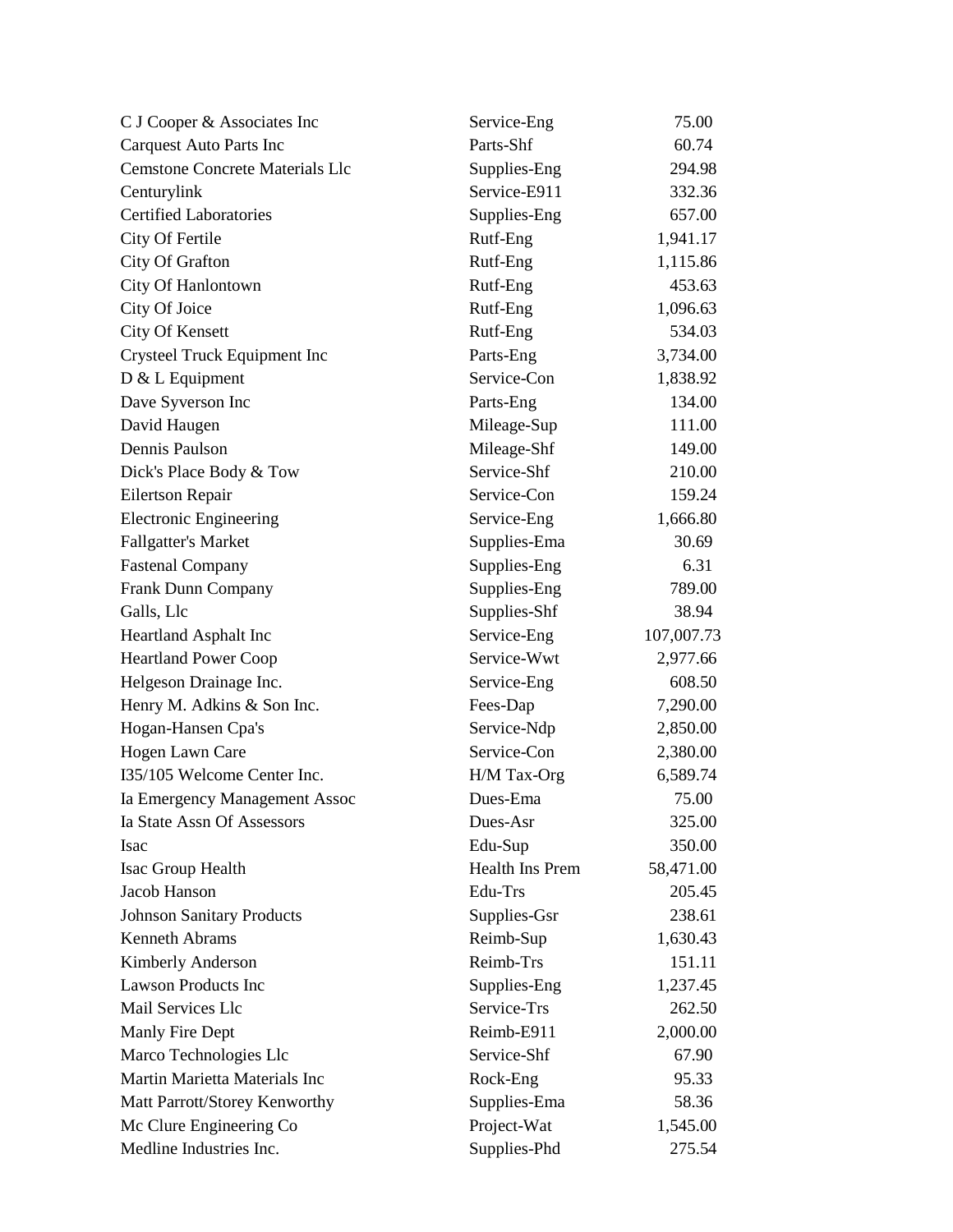| C J Cooper & Associates Inc            | Service-Eng     | 75.00      |
|----------------------------------------|-----------------|------------|
| <b>Carquest Auto Parts Inc</b>         | Parts-Shf       | 60.74      |
| <b>Cemstone Concrete Materials Llc</b> | Supplies-Eng    | 294.98     |
| Centurylink                            | Service-E911    | 332.36     |
| <b>Certified Laboratories</b>          | Supplies-Eng    | 657.00     |
| City Of Fertile                        | Rutf-Eng        | 1,941.17   |
| City Of Grafton                        | Rutf-Eng        | 1,115.86   |
| City Of Hanlontown                     | Rutf-Eng        | 453.63     |
| City Of Joice                          | Rutf-Eng        | 1,096.63   |
| City Of Kensett                        | Rutf-Eng        | 534.03     |
| Crysteel Truck Equipment Inc           | Parts-Eng       | 3,734.00   |
| D & L Equipment                        | Service-Con     | 1,838.92   |
| Dave Syverson Inc                      | Parts-Eng       | 134.00     |
| David Haugen                           | Mileage-Sup     | 111.00     |
| Dennis Paulson                         | Mileage-Shf     | 149.00     |
| Dick's Place Body & Tow                | Service-Shf     | 210.00     |
| Eilertson Repair                       | Service-Con     | 159.24     |
| <b>Electronic Engineering</b>          | Service-Eng     | 1,666.80   |
| <b>Fallgatter's Market</b>             | Supplies-Ema    | 30.69      |
| <b>Fastenal Company</b>                | Supplies-Eng    | 6.31       |
| Frank Dunn Company                     | Supplies-Eng    | 789.00     |
| Galls, Llc                             | Supplies-Shf    | 38.94      |
| <b>Heartland Asphalt Inc</b>           | Service-Eng     | 107,007.73 |
| <b>Heartland Power Coop</b>            | Service-Wwt     | 2,977.66   |
| Helgeson Drainage Inc.                 | Service-Eng     | 608.50     |
| Henry M. Adkins & Son Inc.             | Fees-Dap        | 7,290.00   |
| Hogan-Hansen Cpa's                     | Service-Ndp     | 2,850.00   |
| Hogen Lawn Care                        | Service-Con     | 2,380.00   |
| I35/105 Welcome Center Inc.            | H/M Tax-Org     | 6,589.74   |
| Ia Emergency Management Assoc          | Dues-Ema        | 75.00      |
| Ia State Assn Of Assessors             | Dues-Asr        | 325.00     |
| <b>Isac</b>                            | Edu-Sup         | 350.00     |
| <b>Isac Group Health</b>               | Health Ins Prem | 58,471.00  |
| Jacob Hanson                           | Edu-Trs         | 205.45     |
| <b>Johnson Sanitary Products</b>       | Supplies-Gsr    | 238.61     |
| Kenneth Abrams                         | Reimb-Sup       | 1,630.43   |
| Kimberly Anderson                      | Reimb-Trs       | 151.11     |
| Lawson Products Inc                    | Supplies-Eng    | 1,237.45   |
| Mail Services Llc                      | Service-Trs     | 262.50     |
| Manly Fire Dept                        | Reimb-E911      | 2,000.00   |
| Marco Technologies Llc                 | Service-Shf     | 67.90      |
| Martin Marietta Materials Inc          | Rock-Eng        | 95.33      |
| Matt Parrott/Storey Kenworthy          | Supplies-Ema    | 58.36      |
| Mc Clure Engineering Co                | Project-Wat     | 1,545.00   |
| Medline Industries Inc.                | Supplies-Phd    | 275.54     |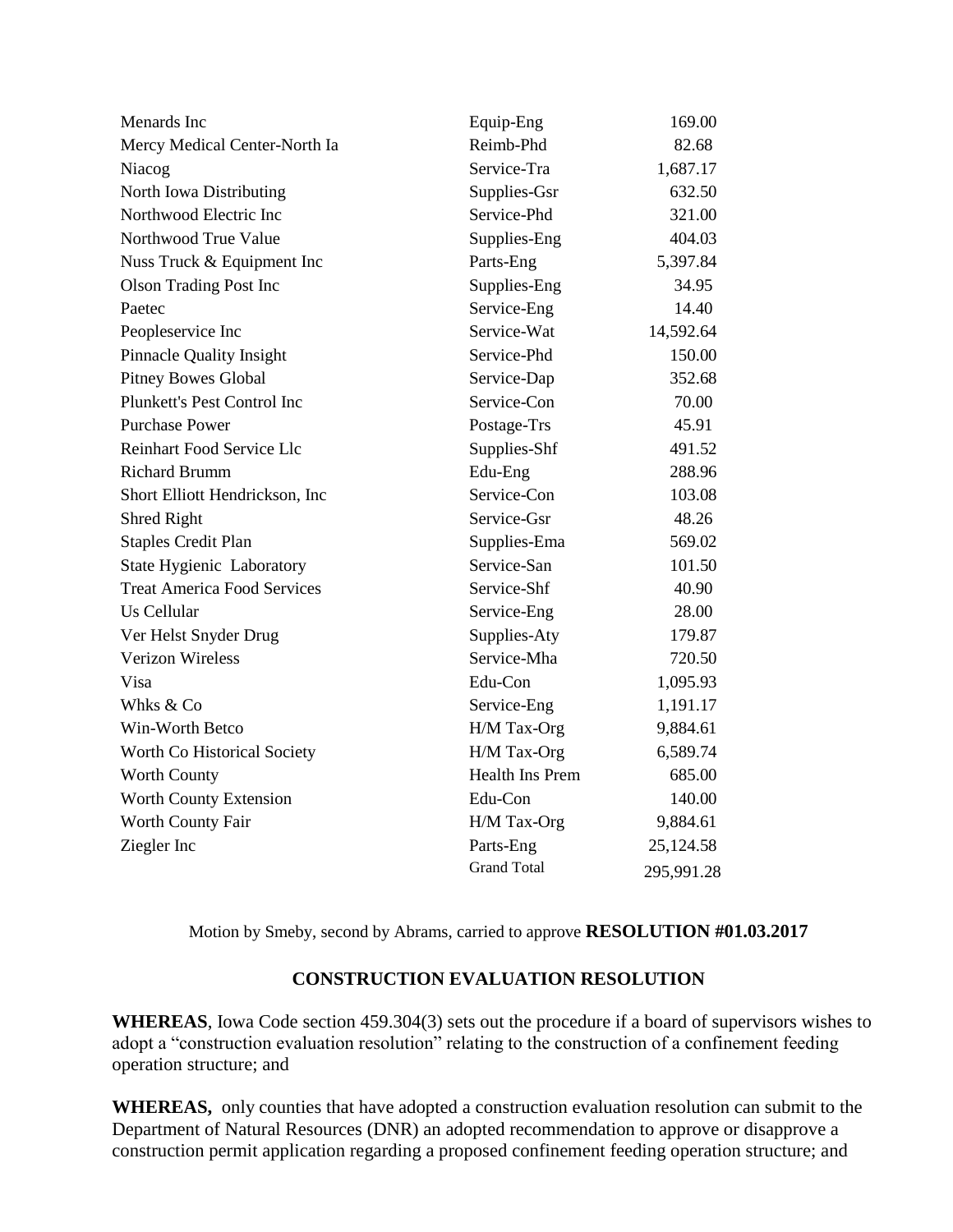| Menards Inc                        | Equip-Eng          | 169.00     |
|------------------------------------|--------------------|------------|
| Mercy Medical Center-North Ia      | Reimb-Phd          | 82.68      |
| Niacog                             | Service-Tra        | 1,687.17   |
| North Iowa Distributing            | Supplies-Gsr       | 632.50     |
| Northwood Electric Inc             | Service-Phd        | 321.00     |
| Northwood True Value               | Supplies-Eng       | 404.03     |
| Nuss Truck & Equipment Inc         | Parts-Eng          | 5,397.84   |
| <b>Olson Trading Post Inc</b>      | Supplies-Eng       | 34.95      |
| Paetec                             | Service-Eng        | 14.40      |
| Peopleservice Inc                  | Service-Wat        | 14,592.64  |
| <b>Pinnacle Quality Insight</b>    | Service-Phd        | 150.00     |
| <b>Pitney Bowes Global</b>         | Service-Dap        | 352.68     |
| Plunkett's Pest Control Inc        | Service-Con        | 70.00      |
| <b>Purchase Power</b>              | Postage-Trs        | 45.91      |
| Reinhart Food Service Llc          | Supplies-Shf       | 491.52     |
| <b>Richard Brumm</b>               | Edu-Eng            | 288.96     |
| Short Elliott Hendrickson, Inc.    | Service-Con        | 103.08     |
| Shred Right                        | Service-Gsr        | 48.26      |
| <b>Staples Credit Plan</b>         | Supplies-Ema       | 569.02     |
| State Hygienic Laboratory          | Service-San        | 101.50     |
| <b>Treat America Food Services</b> | Service-Shf        | 40.90      |
| Us Cellular                        | Service-Eng        | 28.00      |
| Ver Helst Snyder Drug              | Supplies-Aty       | 179.87     |
| <b>Verizon Wireless</b>            | Service-Mha        | 720.50     |
| Visa                               | Edu-Con            | 1,095.93   |
| Whks & Co                          | Service-Eng        | 1,191.17   |
| Win-Worth Betco                    | H/M Tax-Org        | 9,884.61   |
| Worth Co Historical Society        | H/M Tax-Org        | 6,589.74   |
| <b>Worth County</b>                | Health Ins Prem    | 685.00     |
| Worth County Extension             | Edu-Con            | 140.00     |
| Worth County Fair                  | H/M Tax-Org        | 9,884.61   |
| Ziegler Inc                        | Parts-Eng          | 25,124.58  |
|                                    | <b>Grand Total</b> | 295,991.28 |

Motion by Smeby, second by Abrams, carried to approve **RESOLUTION #01.03.2017**

## **CONSTRUCTION EVALUATION RESOLUTION**

**WHEREAS**, Iowa Code section 459.304(3) sets out the procedure if a board of supervisors wishes to adopt a "construction evaluation resolution" relating to the construction of a confinement feeding operation structure; and

**WHEREAS,** only counties that have adopted a construction evaluation resolution can submit to the Department of Natural Resources (DNR) an adopted recommendation to approve or disapprove a construction permit application regarding a proposed confinement feeding operation structure; and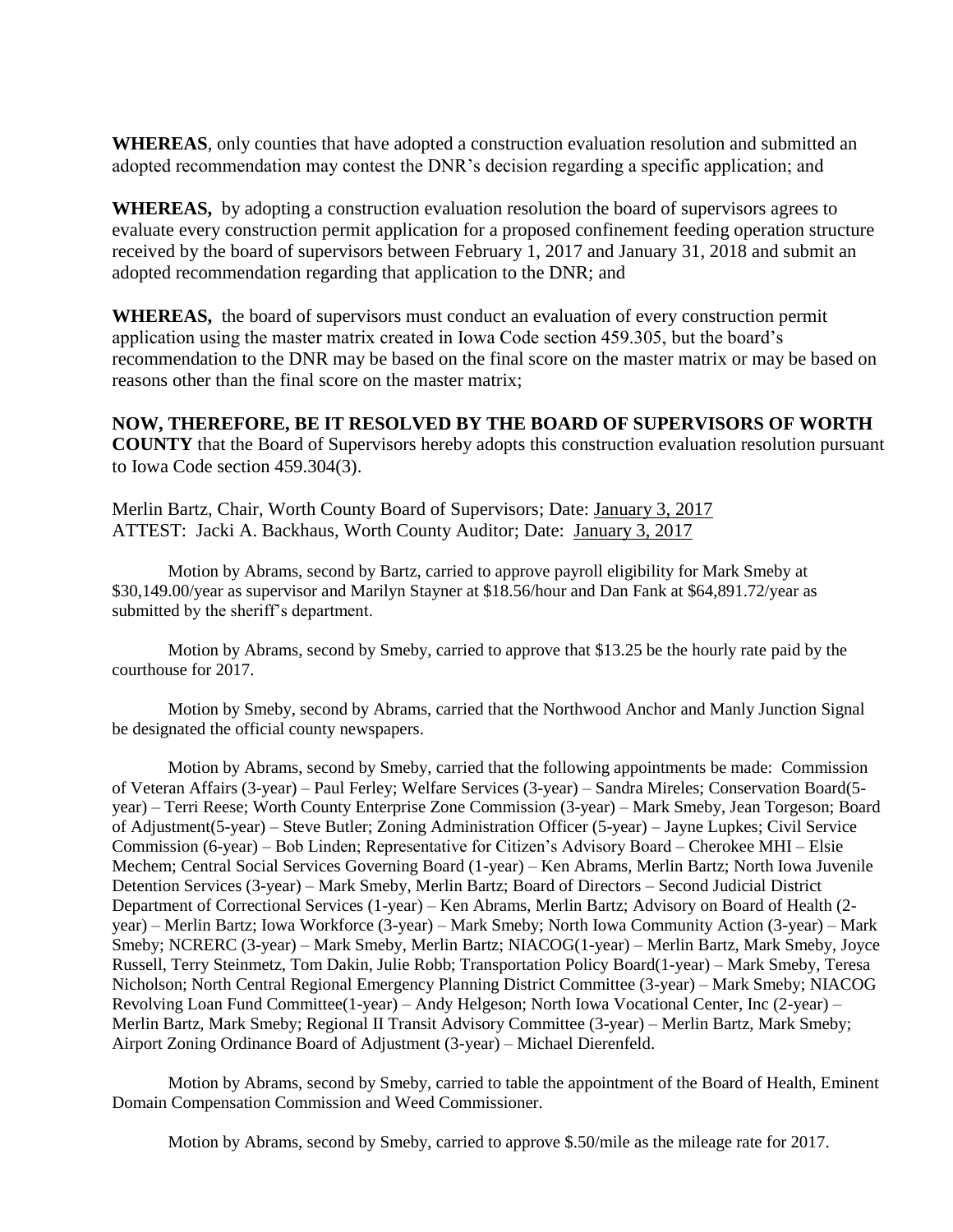**WHEREAS**, only counties that have adopted a construction evaluation resolution and submitted an adopted recommendation may contest the DNR's decision regarding a specific application; and

**WHEREAS,** by adopting a construction evaluation resolution the board of supervisors agrees to evaluate every construction permit application for a proposed confinement feeding operation structure received by the board of supervisors between February 1, 2017 and January 31, 2018 and submit an adopted recommendation regarding that application to the DNR; and

**WHEREAS,** the board of supervisors must conduct an evaluation of every construction permit application using the master matrix created in Iowa Code section 459.305, but the board's recommendation to the DNR may be based on the final score on the master matrix or may be based on reasons other than the final score on the master matrix;

**NOW, THEREFORE, BE IT RESOLVED BY THE BOARD OF SUPERVISORS OF WORTH COUNTY** that the Board of Supervisors hereby adopts this construction evaluation resolution pursuant to Iowa Code section 459.304(3).

Merlin Bartz, Chair, Worth County Board of Supervisors; Date: January 3, 2017 ATTEST: Jacki A. Backhaus, Worth County Auditor; Date: January 3, 2017

Motion by Abrams, second by Bartz, carried to approve payroll eligibility for Mark Smeby at \$30,149.00/year as supervisor and Marilyn Stayner at \$18.56/hour and Dan Fank at \$64,891.72/year as submitted by the sheriff's department.

Motion by Abrams, second by Smeby, carried to approve that \$13.25 be the hourly rate paid by the courthouse for 2017.

Motion by Smeby, second by Abrams, carried that the Northwood Anchor and Manly Junction Signal be designated the official county newspapers.

Motion by Abrams, second by Smeby, carried that the following appointments be made: Commission of Veteran Affairs (3-year) – Paul Ferley; Welfare Services (3-year) – Sandra Mireles; Conservation Board(5 year) – Terri Reese; Worth County Enterprise Zone Commission (3-year) – Mark Smeby, Jean Torgeson; Board of Adjustment(5-year) – Steve Butler; Zoning Administration Officer (5-year) – Jayne Lupkes; Civil Service Commission (6-year) – Bob Linden; Representative for Citizen's Advisory Board – Cherokee MHI – Elsie Mechem; Central Social Services Governing Board (1-year) – Ken Abrams, Merlin Bartz; North Iowa Juvenile Detention Services (3-year) – Mark Smeby, Merlin Bartz; Board of Directors – Second Judicial District Department of Correctional Services (1-year) – Ken Abrams, Merlin Bartz; Advisory on Board of Health (2 year) – Merlin Bartz; Iowa Workforce (3-year) – Mark Smeby; North Iowa Community Action (3-year) – Mark Smeby; NCRERC (3-year) – Mark Smeby, Merlin Bartz; NIACOG(1-year) – Merlin Bartz, Mark Smeby, Joyce Russell, Terry Steinmetz, Tom Dakin, Julie Robb; Transportation Policy Board(1-year) – Mark Smeby, Teresa Nicholson; North Central Regional Emergency Planning District Committee (3-year) – Mark Smeby; NIACOG Revolving Loan Fund Committee(1-year) – Andy Helgeson; North Iowa Vocational Center, Inc (2-year) – Merlin Bartz, Mark Smeby; Regional II Transit Advisory Committee (3-year) – Merlin Bartz, Mark Smeby; Airport Zoning Ordinance Board of Adjustment (3-year) – Michael Dierenfeld.

Motion by Abrams, second by Smeby, carried to table the appointment of the Board of Health, Eminent Domain Compensation Commission and Weed Commissioner.

Motion by Abrams, second by Smeby, carried to approve \$.50/mile as the mileage rate for 2017.